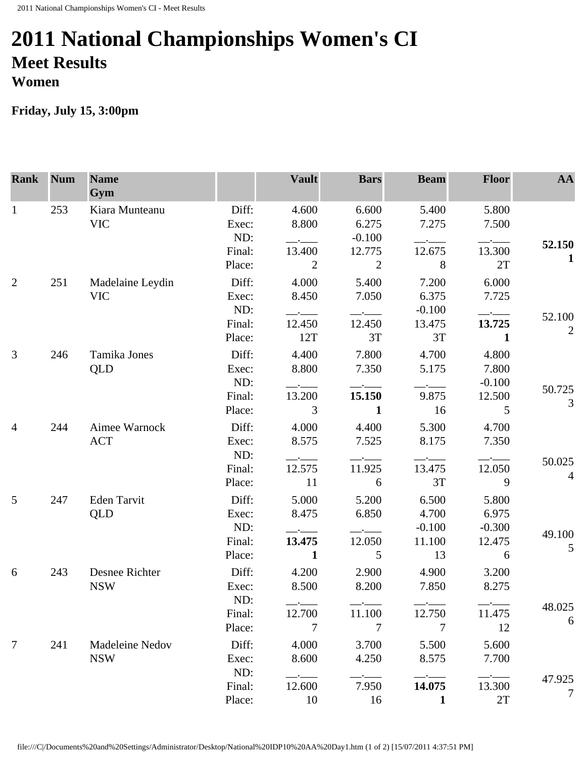## **2011 National Championships Women's CI Meet Results Women**

## **Friday, July 15, 3:00pm**

| <b>Rank</b>     | <b>Num</b> | <b>Name</b><br>Gym            |                       | <b>Vault</b>                                                                  | <b>Bars</b>                | <b>Beam</b>        | <b>Floor</b>        | AA             |
|-----------------|------------|-------------------------------|-----------------------|-------------------------------------------------------------------------------|----------------------------|--------------------|---------------------|----------------|
| 1               | 253        | Kiara Munteanu<br><b>VIC</b>  | Diff:<br>Exec:<br>ND: | 4.600<br>8.800                                                                | 6.600<br>6.275<br>$-0.100$ | 5.400<br>7.275     | 5.800<br>7.500      |                |
|                 |            |                               | Final:                | 13.400                                                                        | 12.775                     | 12.675             | 13.300              | 52.150         |
|                 |            |                               | Place:                | $\overline{2}$                                                                | $\overline{2}$             | 8                  | 2T                  | 1              |
| $\overline{2}$  | 251        | Madelaine Leydin              | Diff:                 | 4.000                                                                         | 5.400                      | 7.200              | 6.000               |                |
|                 |            | <b>VIC</b>                    | Exec:                 | 8.450                                                                         | 7.050                      | 6.375              | 7.725               |                |
|                 |            |                               | ND:<br>Final:         | $ -$<br>12.450                                                                | 12.450                     | $-0.100$<br>13.475 | 13.725              | 52.100         |
|                 |            |                               | Place:                | 12T                                                                           | 3T                         | 3T                 | 1                   | $\overline{2}$ |
| $\mathfrak{Z}$  | 246        | Tamika Jones<br>QLD           | Diff:                 | 4.400                                                                         | 7.800                      | 4.700              | 4.800               |                |
|                 |            |                               | Exec:                 | 8.800                                                                         | 7.350                      | 5.175              | 7.800               |                |
|                 |            |                               | ND:                   |                                                                               |                            |                    | $-0.100$            |                |
|                 |            |                               | Final:                | 13.200                                                                        | 15.150                     | 9.875              | 12.500              | 50.725         |
|                 |            |                               | Place:                | 3                                                                             | $\mathbf{1}$               | 16                 | 5                   | 3              |
| $\overline{4}$  | 244        | Aimee Warnock<br><b>ACT</b>   | Diff:                 | 4.000                                                                         | 4.400                      | 5.300              | 4.700               |                |
|                 |            |                               | Exec:                 | 8.575                                                                         | 7.525                      | 8.175              | 7.350               |                |
|                 |            |                               | ND:                   | $ -$                                                                          |                            |                    |                     | 50.025         |
|                 |            |                               | Final:                | 12.575                                                                        | 11.925                     | 13.475             | 12.050              | $\overline{4}$ |
|                 |            |                               | Place:                | 11                                                                            | 6                          | 3T                 | 9                   |                |
| $5\overline{)}$ | 247        | Eden Tarvit                   | Diff:                 | 5.000                                                                         | 5.200                      | 6.500              | 5.800               |                |
|                 |            | QLD                           | Exec:                 | 8.475                                                                         | 6.850                      | 4.700              | 6.975               |                |
|                 |            |                               | ND:                   |                                                                               |                            | $-0.100$           | $-0.300$            | 49.100         |
|                 |            |                               | Final:                | 13.475                                                                        | 12.050                     | 11.100             | 12.475              | 5              |
|                 |            |                               | Place:                | $\mathbf{1}$                                                                  | 5                          | 13                 | 6                   |                |
| 6               | 243        | Desnee Richter<br><b>NSW</b>  | Diff:                 | 4.200                                                                         | 2.900                      | 4.900              | 3.200               |                |
|                 |            |                               | Exec:                 | 8.500                                                                         | 8.200                      | 7.850              | 8.275               |                |
|                 |            |                               | ND:                   |                                                                               |                            |                    |                     | 48.025         |
|                 |            |                               | Final:                | 12.700                                                                        | 11.100                     | 12.750             | 11.475              | 6              |
|                 |            |                               | Place:                | 7                                                                             | 7                          | 7                  | 12                  |                |
| $\overline{7}$  | 241        | Madeleine Nedov<br><b>NSW</b> | Diff:                 | 4.000                                                                         | 3.700                      | 5.500              | 5.600               |                |
|                 |            |                               | Exec:                 | 8.600                                                                         | 4.250                      | 8.575              | 7.700               |                |
|                 |            |                               | ND:<br>Final:         | $\overline{\phantom{a}}$ . The contract of $\overline{\phantom{a}}$<br>12.600 | 7.950                      | 14.075             | $-$ - $-$<br>13.300 | 47.925         |
|                 |            |                               | Place:                | 10                                                                            | 16                         | $\mathbf{1}$       | 2T                  | 7              |